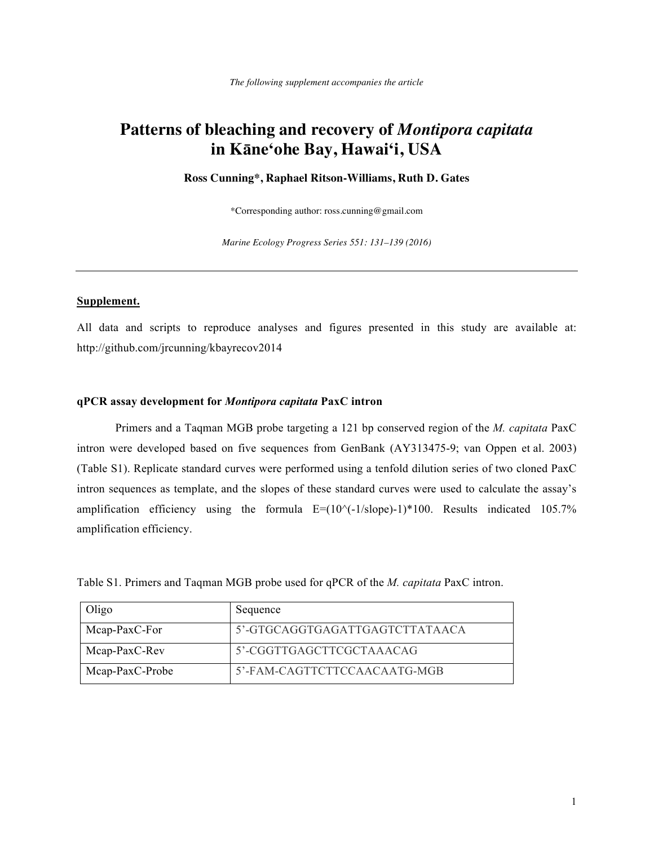# **Patterns of bleaching and recovery of** *Montipora capitata* **in Kāne'ohe Bay, Hawai'i, USA**

**Ross Cunning\*, Raphael Ritson-Williams, Ruth D. Gates**

\*Corresponding author: ross.cunning@gmail.com

*Marine Ecology Progress Series 551: 131–139 (2016)*

# **Supplement.**

All data and scripts to reproduce analyses and figures presented in this study are available at: http://github.com/jrcunning/kbayrecov2014

### **qPCR assay development for** *Montipora capitata* **PaxC intron**

Primers and a Taqman MGB probe targeting a 121 bp conserved region of the *M. capitata* PaxC intron were developed based on five sequences from GenBank (AY313475-9; van Oppen et al. 2003) (Table S1). Replicate standard curves were performed using a tenfold dilution series of two cloned PaxC intron sequences as template, and the slopes of these standard curves were used to calculate the assay's amplification efficiency using the formula  $E=(10^{\circ}(-1/slope)-1)*100$ . Results indicated 105.7% amplification efficiency.

Table S1. Primers and Taqman MGB probe used for qPCR of the *M. capitata* PaxC intron.

| Oligo           | Sequence                       |
|-----------------|--------------------------------|
| Mcap-PaxC-For   | 5'-GTGCAGGTGAGATTGAGTCTTATAACA |
| Mcap-PaxC-Rev   | 5'-CGGTTGAGCTTCGCTAAACAG       |
| Mcap-PaxC-Probe | 5'-FAM-CAGTTCTTCCAACAATG-MGB   |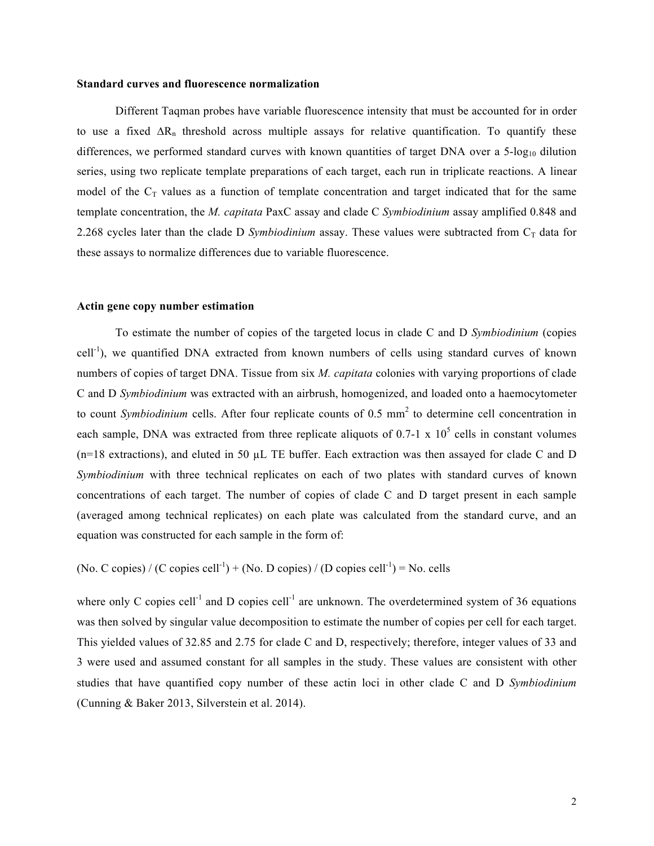#### **Standard curves and fluorescence normalization**

Different Taqman probes have variable fluorescence intensity that must be accounted for in order to use a fixed  $\Delta R_n$  threshold across multiple assays for relative quantification. To quantify these differences, we performed standard curves with known quantities of target DNA over a 5-log<sub>10</sub> dilution series, using two replicate template preparations of each target, each run in triplicate reactions. A linear model of the  $C_T$  values as a function of template concentration and target indicated that for the same template concentration, the *M. capitata* PaxC assay and clade C *Symbiodinium* assay amplified 0.848 and 2.268 cycles later than the clade D *Symbiodinium* assay. These values were subtracted from  $C_T$  data for these assays to normalize differences due to variable fluorescence.

# **Actin gene copy number estimation**

To estimate the number of copies of the targeted locus in clade C and D *Symbiodinium* (copies cell<sup>-1</sup>), we quantified DNA extracted from known numbers of cells using standard curves of known numbers of copies of target DNA. Tissue from six *M. capitata* colonies with varying proportions of clade C and D *Symbiodinium* was extracted with an airbrush, homogenized, and loaded onto a haemocytometer to count *Symbiodinium* cells. After four replicate counts of 0.5 mm<sup>2</sup> to determine cell concentration in each sample, DNA was extracted from three replicate aliquots of 0.7-1 x  $10^5$  cells in constant volumes (n=18 extractions), and eluted in 50 µL TE buffer. Each extraction was then assayed for clade C and D *Symbiodinium* with three technical replicates on each of two plates with standard curves of known concentrations of each target. The number of copies of clade C and D target present in each sample (averaged among technical replicates) on each plate was calculated from the standard curve, and an equation was constructed for each sample in the form of:

(No. C copies) / (C copies cell<sup>-1</sup>) + (No. D copies) / (D copies cell<sup>-1</sup>) = No. cells

where only C copies cell<sup>-1</sup> and D copies cell<sup>-1</sup> are unknown. The overdetermined system of 36 equations was then solved by singular value decomposition to estimate the number of copies per cell for each target. This yielded values of 32.85 and 2.75 for clade C and D, respectively; therefore, integer values of 33 and 3 were used and assumed constant for all samples in the study. These values are consistent with other studies that have quantified copy number of these actin loci in other clade C and D *Symbiodinium* (Cunning & Baker 2013, Silverstein et al. 2014).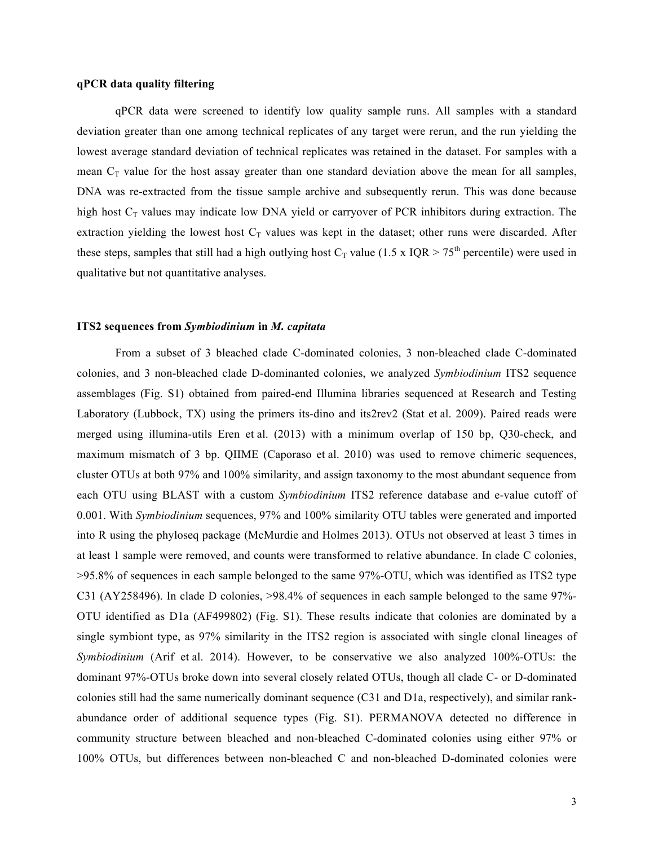# **qPCR data quality filtering**

qPCR data were screened to identify low quality sample runs. All samples with a standard deviation greater than one among technical replicates of any target were rerun, and the run yielding the lowest average standard deviation of technical replicates was retained in the dataset. For samples with a mean  $C_T$  value for the host assay greater than one standard deviation above the mean for all samples, DNA was re-extracted from the tissue sample archive and subsequently rerun. This was done because high host  $C_T$  values may indicate low DNA yield or carryover of PCR inhibitors during extraction. The extraction yielding the lowest host  $C_T$  values was kept in the dataset; other runs were discarded. After these steps, samples that still had a high outlying host  $C_T$  value (1.5 x IQR > 75<sup>th</sup> percentile) were used in qualitative but not quantitative analyses.

# **ITS2 sequences from** *Symbiodinium* **in** *M. capitata*

From a subset of 3 bleached clade C-dominated colonies, 3 non-bleached clade C-dominated colonies, and 3 non-bleached clade D-dominanted colonies, we analyzed *Symbiodinium* ITS2 sequence assemblages (Fig. S1) obtained from paired-end Illumina libraries sequenced at Research and Testing Laboratory (Lubbock, TX) using the primers its-dino and its2rev2 (Stat et al. 2009). Paired reads were merged using illumina-utils Eren et al. (2013) with a minimum overlap of 150 bp, Q30-check, and maximum mismatch of 3 bp. QIIME (Caporaso et al. 2010) was used to remove chimeric sequences, cluster OTUs at both 97% and 100% similarity, and assign taxonomy to the most abundant sequence from each OTU using BLAST with a custom *Symbiodinium* ITS2 reference database and e-value cutoff of 0.001. With *Symbiodinium* sequences, 97% and 100% similarity OTU tables were generated and imported into R using the phyloseq package (McMurdie and Holmes 2013). OTUs not observed at least 3 times in at least 1 sample were removed, and counts were transformed to relative abundance. In clade C colonies, >95.8% of sequences in each sample belonged to the same 97%-OTU, which was identified as ITS2 type C31 (AY258496). In clade D colonies, >98.4% of sequences in each sample belonged to the same 97%- OTU identified as D1a (AF499802) (Fig. S1). These results indicate that colonies are dominated by a single symbiont type, as 97% similarity in the ITS2 region is associated with single clonal lineages of *Symbiodinium* (Arif et al. 2014). However, to be conservative we also analyzed 100%-OTUs: the dominant 97%-OTUs broke down into several closely related OTUs, though all clade C- or D-dominated colonies still had the same numerically dominant sequence (C31 and D1a, respectively), and similar rankabundance order of additional sequence types (Fig. S1). PERMANOVA detected no difference in community structure between bleached and non-bleached C-dominated colonies using either 97% or 100% OTUs, but differences between non-bleached C and non-bleached D-dominated colonies were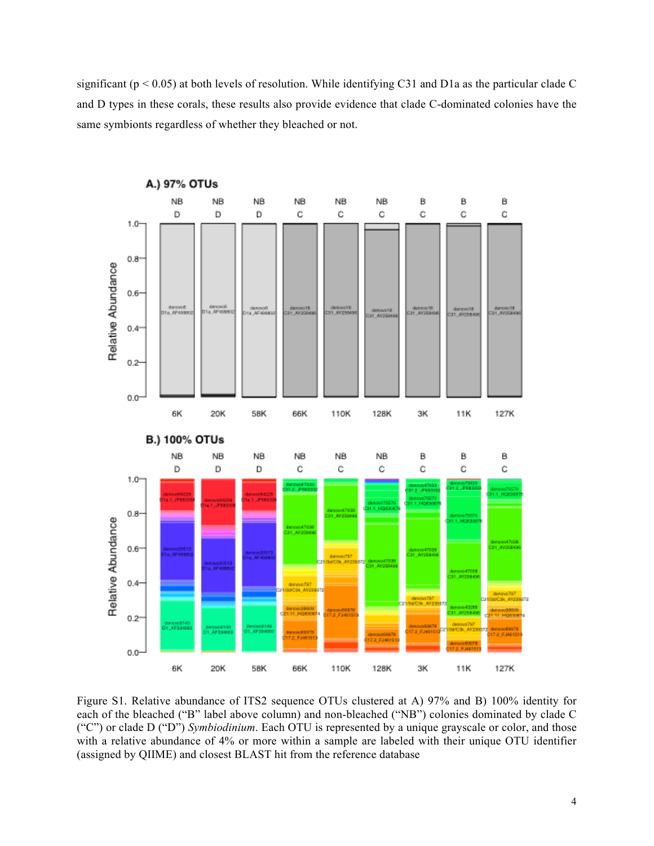significant ( $p < 0.05$ ) at both levels of resolution. While identifying C31 and D1a as the particular clade C and D types in these corals, these results also provide evidence that clade C-dominated colonies have the same symbionts regardless of whether they bleached or not.



Figure S1. Relative abundance of ITS2 sequence OTUs clustered at A) 97% and B) 100% identity for each of the bleached ("B" label above column) and non-bleached ("NB") colonies dominated by clade C ("C") or clade D ("D") *Symbiodinium*. Each OTU is represented by a unique grayscale or color, and those with a relative abundance of 4% or more within a sample are labeled with their unique OTU identifier (assigned by QIIME) and closest BLAST hit from the reference database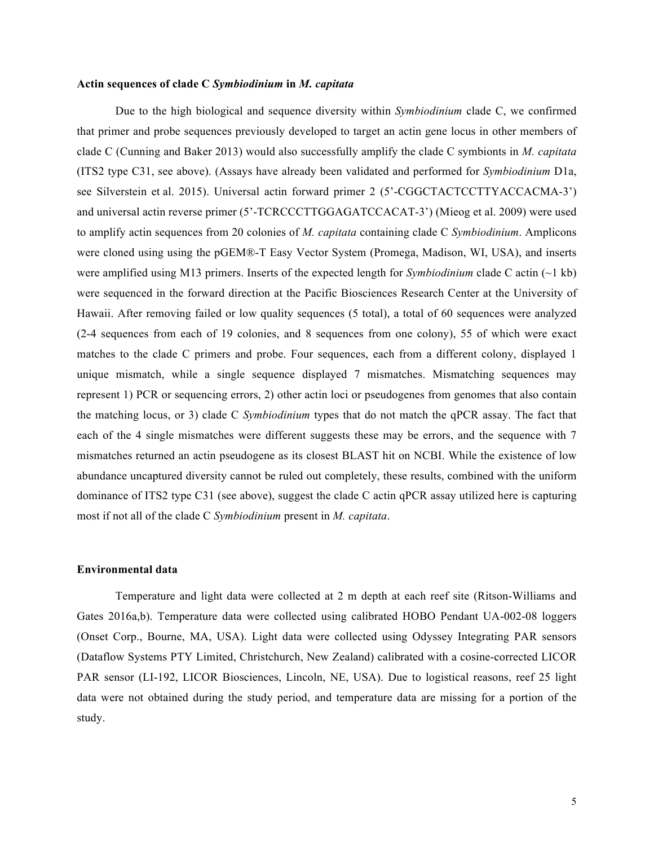### **Actin sequences of clade C** *Symbiodinium* **in** *M. capitata*

Due to the high biological and sequence diversity within *Symbiodinium* clade C, we confirmed that primer and probe sequences previously developed to target an actin gene locus in other members of clade C (Cunning and Baker 2013) would also successfully amplify the clade C symbionts in *M. capitata* (ITS2 type C31, see above). (Assays have already been validated and performed for *Symbiodinium* D1a, see Silverstein et al. 2015). Universal actin forward primer 2 (5'-CGGCTACTCCTTYACCACMA-3') and universal actin reverse primer (5'-TCRCCCTTGGAGATCCACAT-3') (Mieog et al. 2009) were used to amplify actin sequences from 20 colonies of *M. capitata* containing clade C *Symbiodinium*. Amplicons were cloned using using the pGEM®-T Easy Vector System (Promega, Madison, WI, USA), and inserts were amplified using M13 primers. Inserts of the expected length for *Symbiodinium* clade C actin (~1 kb) were sequenced in the forward direction at the Pacific Biosciences Research Center at the University of Hawaii. After removing failed or low quality sequences (5 total), a total of 60 sequences were analyzed (2-4 sequences from each of 19 colonies, and 8 sequences from one colony), 55 of which were exact matches to the clade C primers and probe. Four sequences, each from a different colony, displayed 1 unique mismatch, while a single sequence displayed 7 mismatches. Mismatching sequences may represent 1) PCR or sequencing errors, 2) other actin loci or pseudogenes from genomes that also contain the matching locus, or 3) clade C *Symbiodinium* types that do not match the qPCR assay. The fact that each of the 4 single mismatches were different suggests these may be errors, and the sequence with 7 mismatches returned an actin pseudogene as its closest BLAST hit on NCBI. While the existence of low abundance uncaptured diversity cannot be ruled out completely, these results, combined with the uniform dominance of ITS2 type C31 (see above), suggest the clade C actin qPCR assay utilized here is capturing most if not all of the clade C *Symbiodinium* present in *M. capitata*.

# **Environmental data**

Temperature and light data were collected at 2 m depth at each reef site (Ritson-Williams and Gates 2016a,b). Temperature data were collected using calibrated HOBO Pendant UA-002-08 loggers (Onset Corp., Bourne, MA, USA). Light data were collected using Odyssey Integrating PAR sensors (Dataflow Systems PTY Limited, Christchurch, New Zealand) calibrated with a cosine-corrected LICOR PAR sensor (LI-192, LICOR Biosciences, Lincoln, NE, USA). Due to logistical reasons, reef 25 light data were not obtained during the study period, and temperature data are missing for a portion of the study.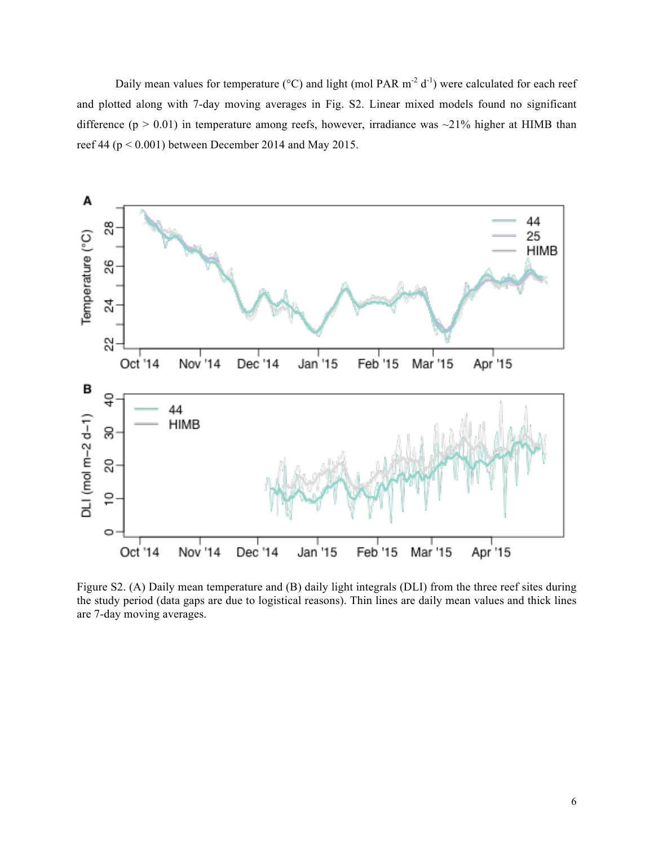Daily mean values for temperature ( $\rm{^{\circ}C}$ ) and light (mol PAR m<sup>-2</sup> d<sup>-1</sup>) were calculated for each reef and plotted along with 7-day moving averages in Fig. S2. Linear mixed models found no significant difference ( $p > 0.01$ ) in temperature among reefs, however, irradiance was  $\sim$ 21% higher at HIMB than reef 44 ( $p < 0.001$ ) between December 2014 and May 2015.



Figure S2. (A) Daily mean temperature and (B) daily light integrals (DLI) from the three reef sites during the study period (data gaps are due to logistical reasons). Thin lines are daily mean values and thick lines are 7-day moving averages.